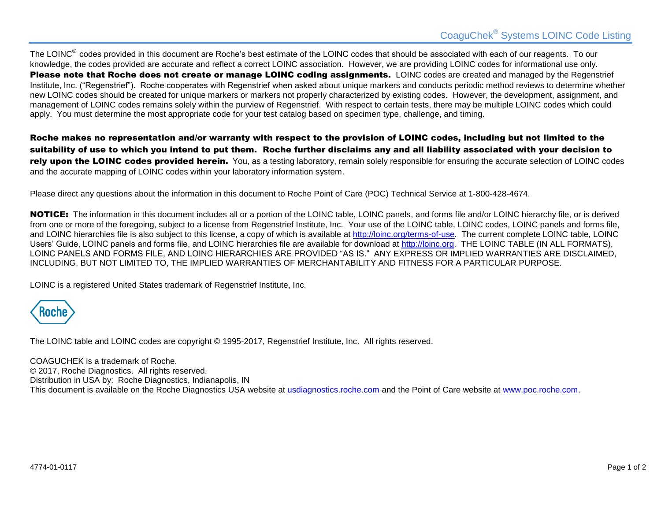The LOINC<sup>®</sup> codes provided in this document are Roche's best estimate of the LOINC codes that should be associated with each of our reagents. To our knowledge, the codes provided are accurate and reflect a correct LOINC association. However, we are providing LOINC codes for informational use only. Please note that Roche does not create or manage LOINC coding assignments. LOINC codes are created and managed by the Regenstrief Institute, Inc. ("Regenstrief"). Roche cooperates with Regenstrief when asked about unique markers and conducts periodic method reviews to determine whether new LOINC codes should be created for unique markers or markers not properly characterized by existing codes. However, the development, assignment, and management of LOINC codes remains solely within the purview of Regenstrief. With respect to certain tests, there may be multiple LOINC codes which could apply. You must determine the most appropriate code for your test catalog based on specimen type, challenge, and timing.

Roche makes no representation and/or warranty with respect to the provision of LOINC codes, including but not limited to the suitability of use to which you intend to put them. Roche further disclaims any and all liability associated with your decision to rely upon the LOINC codes provided herein. You, as a testing laboratory, remain solely responsible for ensuring the accurate selection of LOINC codes and the accurate mapping of LOINC codes within your laboratory information system.

Please direct any questions about the information in this document to Roche Point of Care (POC) Technical Service at 1-800-428-4674.

NOTICE: The information in this document includes all or a portion of the LOINC table, LOINC panels, and forms file and/or LOINC hierarchy file, or is derived from one or more of the foregoing, subject to a license from Regenstrief Institute, Inc. Your use of the LOINC table, LOINC codes, LOINC panels and forms file, and LOINC hierarchies file is also subject to this license, a copy of which is available at [http://loinc.org/terms-of-use.](http://loinc.org/terms-of-use) The current complete LOINC table, LOINC Users' Guide, LOINC panels and forms file, and LOINC hierarchies file are available for download at [http://loinc.org.](http://loinc.org/) THE LOINC TABLE (IN ALL FORMATS), LOINC PANELS AND FORMS FILE, AND LOINC HIERARCHIES ARE PROVIDED "AS IS." ANY EXPRESS OR IMPLIED WARRANTIES ARE DISCLAIMED, INCLUDING, BUT NOT LIMITED TO, THE IMPLIED WARRANTIES OF MERCHANTABILITY AND FITNESS FOR A PARTICULAR PURPOSE.

LOINC is a registered United States trademark of Regenstrief Institute, Inc.



The LOINC table and LOINC codes are copyright © 1995-2017, Regenstrief Institute, Inc. All rights reserved.

COAGUCHEK is a trademark of Roche. © 2017, Roche Diagnostics. All rights reserved. Distribution in USA by: Roche Diagnostics, Indianapolis, IN This document is available on the Roche Diagnostics USA website at<usdiagnostics.roche.com> and the Point of Care website at [www.poc.roche.com.](http://www.poc.roche.com/)